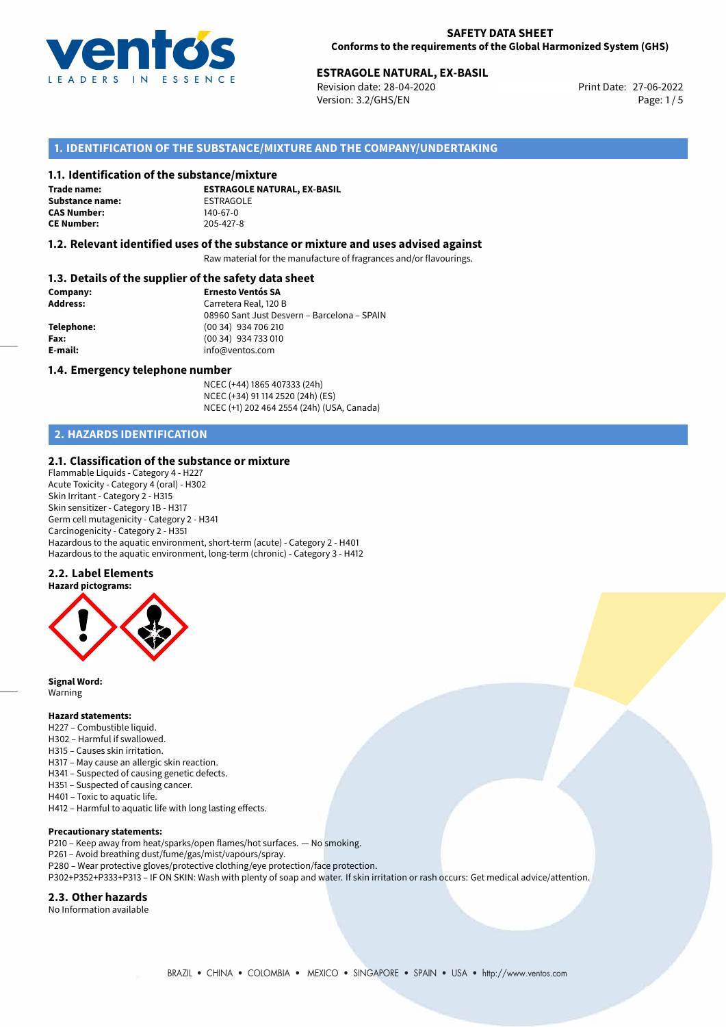

Revision date: 28-04-2020 Version: 3.2/GHS/EN Page: 1/5

# **1. IDENTIFICATION OF THE SUBSTANCE/MIXTURE AND THE COMPANY/UNDERTAKING**

#### **1.1. Identification of the substance/mixture**

**Trade name: Substance name:** ESTRAGOLE<br> **CAS Number:** 140-67-0 **CAS Number: CE Number:** 205-427-8

**ESTRAGOLE NATURAL, EX-BASIL**

#### **1.2. Relevant identified uses of the substance or mixture and uses advised against**

Raw material for the manufacture of fragrances and/or flavourings.

## **1.3. Details of the supplier of the safety data sheet**

| Company:        | <b>Ernesto Ventós SA</b>                    |  |  |
|-----------------|---------------------------------------------|--|--|
| <b>Address:</b> | Carretera Real, 120 B                       |  |  |
|                 | 08960 Sant Just Desvern - Barcelona - SPAIN |  |  |
| Telephone:      | (00 34) 934 706 210                         |  |  |
| Fax:            | (00 34) 934 733 010                         |  |  |
| E-mail:         | info@ventos.com                             |  |  |
|                 |                                             |  |  |

#### **1.4. Emergency telephone number**

NCEC (+44) 1865 407333 (24h) NCEC (+34) 91 114 2520 (24h) (ES) NCEC (+1) 202 464 2554 (24h) (USA, Canada)

# **2. HAZARDS IDENTIFICATION**

#### **2.1. Classification of the substance or mixture**

Flammable Liquids - Category 4 - H227 Acute Toxicity - Category 4 (oral) - H302 Skin Irritant - Category 2 - H315 Skin sensitizer - Category 1B - H317 Germ cell mutagenicity - Category 2 - H341 Carcinogenicity - Category 2 - H351 Hazardous to the aquatic environment, short-term (acute) - Category 2 - H401 Hazardous to the aquatic environment, long-term (chronic) - Category 3 - H412

#### **2.2. Label Elements**



**Signal Word:** Warning

#### **Hazard statements:**

- H227 Combustible liquid.
- H302 Harmful if swallowed.
- H315 Causes skin irritation.
- H317 May cause an allergic skin reaction.
- H341 Suspected of causing genetic defects.
- H351 Suspected of causing cancer. H401 – Toxic to aquatic life.
- H412 Harmful to aquatic life with long lasting effects.

#### **Precautionary statements:**

- P210 Keep away from heat/sparks/open flames/hot surfaces. No smoking.
- P261 Avoid breathing dust/fume/gas/mist/vapours/spray.
- P280 Wear protective gloves/protective clothing/eye protection/face protection.
- P302+P352+P333+P313 IF ON SKIN: Wash with plenty of soap and water. If skin irritation or rash occurs: Get medical advice/attention.

#### **2.3. Other hazards**

No Information available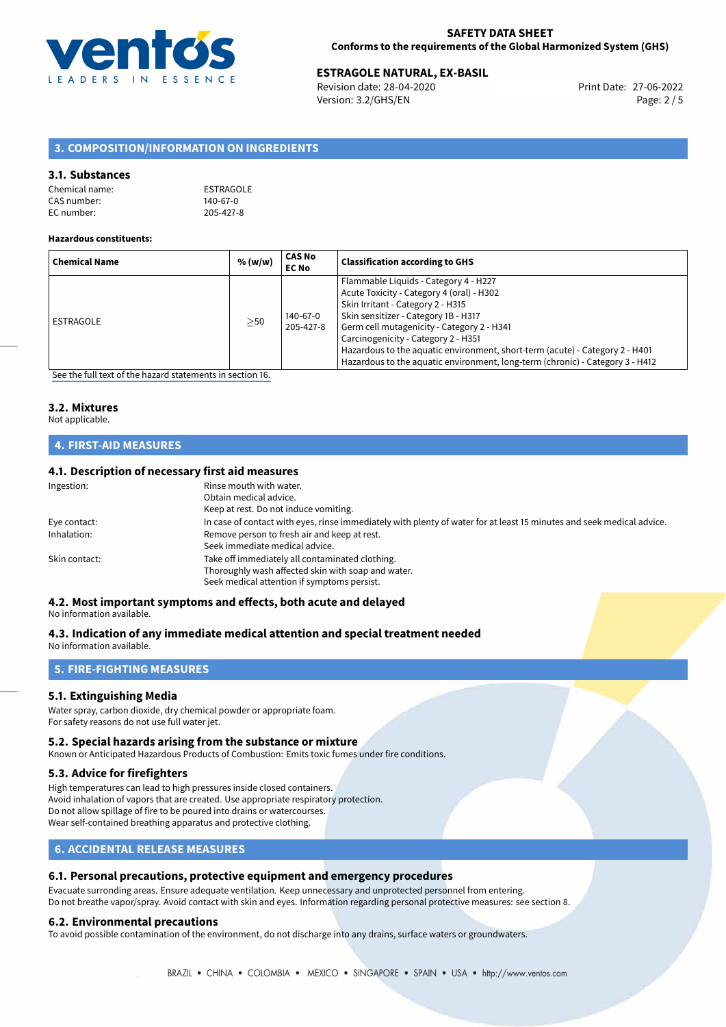

Revision date: 28-04-2020 Version: 3.2/GHS/EN Page: 2 / 5

# **3. COMPOSITION/INFORMATION ON INGREDIENTS**

## **3.1. Substances**

| Chemical name: | ESTRAGOLE |
|----------------|-----------|
| CAS number:    | 140-67-0  |
| EC number:     | 205-427-8 |

#### **Hazardous constituents:**

| <b>Chemical Name</b> | % (w/w)   | <b>CAS No</b><br><b>EC No</b> | <b>Classification according to GHS</b>                                                                                                                                                                                                                                                                                                                                                                                |
|----------------------|-----------|-------------------------------|-----------------------------------------------------------------------------------------------------------------------------------------------------------------------------------------------------------------------------------------------------------------------------------------------------------------------------------------------------------------------------------------------------------------------|
| ESTRAGOLE            | $\geq$ 50 | 140-67-0<br>205-427-8         | Flammable Liquids - Category 4 - H227<br>Acute Toxicity - Category 4 (oral) - H302<br>Skin Irritant - Category 2 - H315<br>Skin sensitizer - Category 1B - H317<br>Germ cell mutagenicity - Category 2 - H341<br>Carcinogenicity - Category 2 - H351<br>Hazardous to the aquatic environment, short-term (acute) - Category 2 - H401<br>Hazardous to the aquatic environment, long-term (chronic) - Category 3 - H412 |

[See the full text of the hazard statements in section 16.](#page-4-0)

# **3.2. Mixtures**

# Not applicable.

# **4. FIRST-AID MEASURES**

## **4.1. Description of necessary first aid measures**

| In case of contact with eyes, rinse immediately with plenty of water for at least 15 minutes and seek medical advice. |
|-----------------------------------------------------------------------------------------------------------------------|
|                                                                                                                       |
|                                                                                                                       |
|                                                                                                                       |
|                                                                                                                       |
|                                                                                                                       |
|                                                                                                                       |

# **4.2. Most important symptoms and effects, both acute and delayed**

#### No information available.

# **4.3. Indication of any immediate medical attention and special treatment needed**

No information available.

# **5. FIRE-FIGHTING MEASURES**

## **5.1. Extinguishing Media**

Water spray, carbon dioxide, dry chemical powder or appropriate foam. For safety reasons do not use full water jet.

## **5.2. Special hazards arising from the substance or mixture**

Known or Anticipated Hazardous Products of Combustion: Emits toxic fumes under fire conditions.

## **5.3. Advice for firefighters**

High temperatures can lead to high pressures inside closed containers. Avoid inhalation of vapors that are created. Use appropriate respiratory protection. Do not allow spillage of fire to be poured into drains or watercourses. Wear self-contained breathing apparatus and protective clothing.

# **6. ACCIDENTAL RELEASE MEASURES**

## **6.1. Personal precautions, protective equipment and emergency procedures**

Evacuate surronding areas. Ensure adequate ventilation. Keep unnecessary and unprotected personnel from entering. Do not breathe vapor/spray. Avoid contact with skin and eyes. Information regarding personal protective measures: see section 8.

## **6.2. Environmental precautions**

To avoid possible contamination of the environment, do not discharge into any drains, surface waters or groundwaters.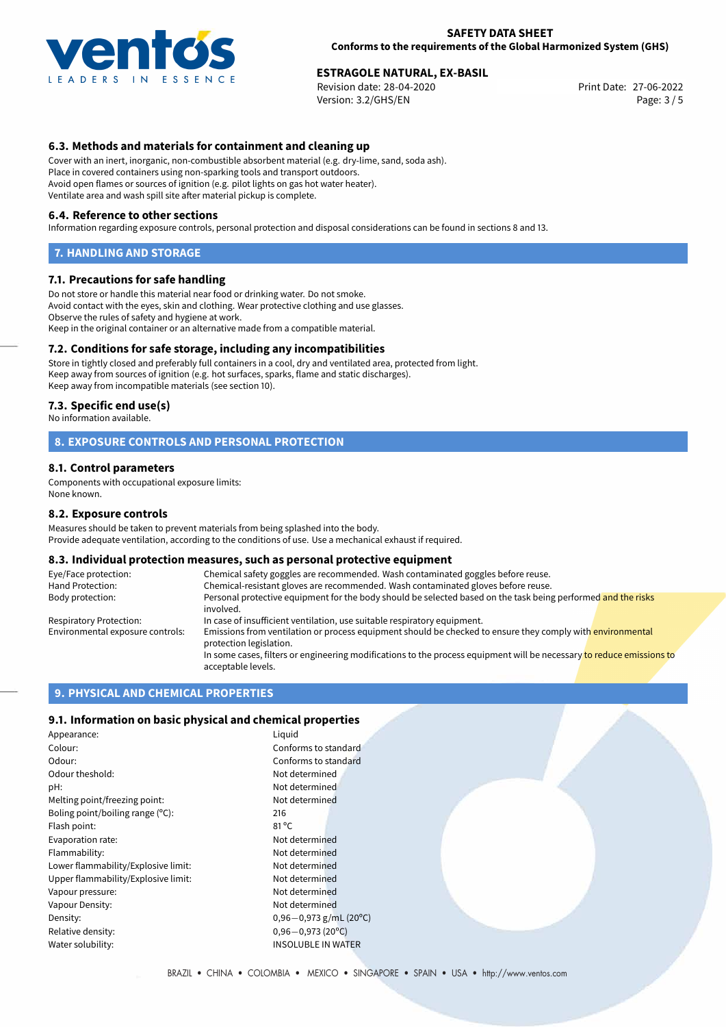

Revision date: 28-04-2020 Version: 3.2/GHS/EN Page: 3 / 5

# **6.3. Methods and materials for containment and cleaning up**

Cover with an inert, inorganic, non-combustible absorbent material (e.g. dry-lime, sand, soda ash). Place in covered containers using non-sparking tools and transport outdoors. Avoid open flames or sources of ignition (e.g. pilot lights on gas hot water heater). Ventilate area and wash spill site after material pickup is complete.

#### **6.4. Reference to other sections**

Information regarding exposure controls, personal protection and disposal considerations can be found in sections 8 and 13.

#### **7. HANDLING AND STORAGE**

#### **7.1. Precautions for safe handling**

Do not store or handle this material near food or drinking water. Do not smoke. Avoid contact with the eyes, skin and clothing. Wear protective clothing and use glasses. Observe the rules of safety and hygiene at work. Keep in the original container or an alternative made from a compatible material.

## **7.2. Conditions for safe storage, including any incompatibilities**

Store in tightly closed and preferably full containers in a cool, dry and ventilated area, protected from light. Keep away from sources of ignition (e.g. hot surfaces, sparks, flame and static discharges). Keep away from incompatible materials (see section 10).

#### **7.3. Specific end use(s)**

No information available.

## **8. EXPOSURE CONTROLS AND PERSONAL PROTECTION**

#### **8.1. Control parameters**

Components with occupational exposure limits: None known.

#### **8.2. Exposure controls**

Measures should be taken to prevent materials from being splashed into the body. Provide adequate ventilation, according to the conditions of use. Use a mechanical exhaust if required.

#### **8.3. Individual protection measures, such as personal protective equipment**

| Eye/Face protection:             | Chemical safety goggles are recommended. Wash contaminated goggles before reuse.                                                            |
|----------------------------------|---------------------------------------------------------------------------------------------------------------------------------------------|
| Hand Protection:                 | Chemical-resistant gloves are recommended. Wash contaminated gloves before reuse.                                                           |
| Body protection:                 | Personal protective equipment for the body should be selected based on the task being performed and the risks<br>involved.                  |
| Respiratory Protection:          | In case of insufficient ventilation, use suitable respiratory equipment.                                                                    |
| Environmental exposure controls: | Emissions from ventilation or process equipment should be checked to ensure they comply with environmental<br>protection legislation.       |
|                                  | In some cases, filters or engineering modifications to the process equipment will be necessary to reduce emissions to<br>acceptable levels. |

## **9. PHYSICAL AND CHEMICAL PROPERTIES**

#### **9.1. Information on basic physical and chemical properties**

| Appearance:                         | Liquid                      |
|-------------------------------------|-----------------------------|
| Colour:                             | Conforms to standard        |
| Odour:                              | Conforms to standard        |
| Odour theshold:                     | Not determined              |
| pH:                                 | Not determined              |
| Melting point/freezing point:       | Not determined              |
| Boling point/boiling range $(°C)$ : | 216                         |
| Flash point:                        | $81^{\circ}$ C              |
| Evaporation rate:                   | Not determined              |
| Flammability:                       | Not determined              |
| Lower flammability/Explosive limit: | Not determined              |
| Upper flammability/Explosive limit: | Not determined              |
| Vapour pressure:                    | Not determined              |
| Vapour Density:                     | Not determined              |
| Density:                            | $0,96 - 0,973$ g/mL (20°C)  |
| Relative density:                   | $0,96 - 0,973(20^{\circ}C)$ |
| Water solubility:                   | <b>INSOLUBLE IN WATER</b>   |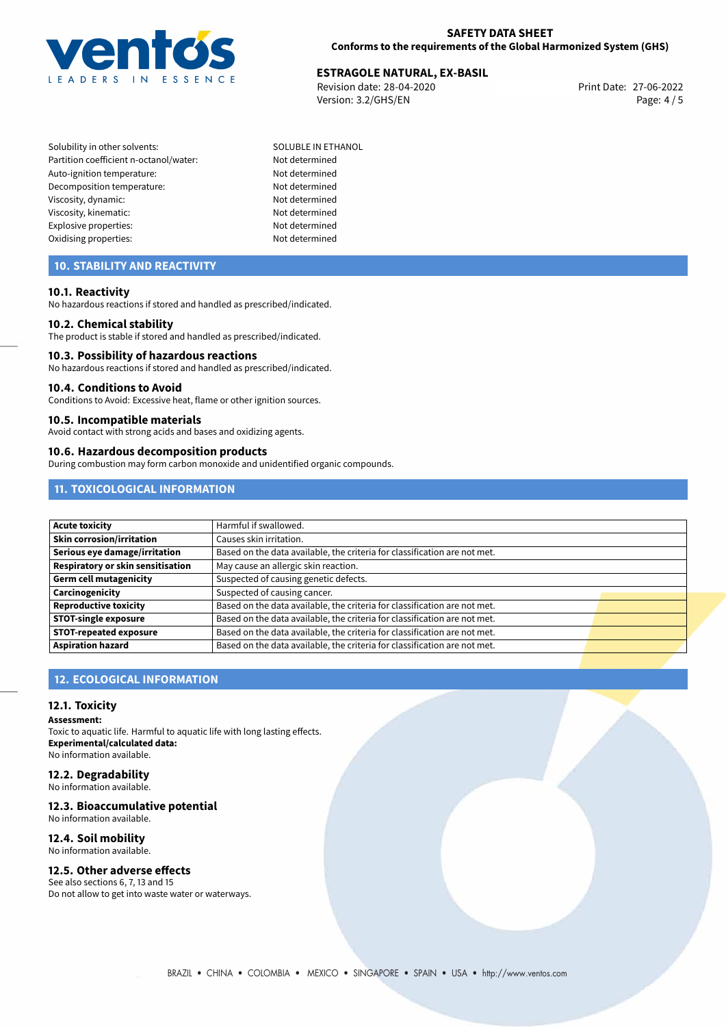

Revision date: 28-04-2020 Version: 3.2/GHS/EN Page: 4 / 5

- Solubility in other solvents: SOLUBLE IN ETHANOL Partition coefficient n-octanol/water: Not determined Auto-ignition temperature: Not determined Decomposition temperature: Not determined Viscosity, dynamic: Not determined Viscosity, kinematic: Not determined Explosive properties: Not determined Oxidising properties: Not determined
	-

# **10. STABILITY AND REACTIVITY**

## **10.1. Reactivity**

No hazardous reactions if stored and handled as prescribed/indicated.

#### **10.2. Chemical stability**

The product is stable if stored and handled as prescribed/indicated.

#### **10.3. Possibility of hazardous reactions**

No hazardous reactions if stored and handled as prescribed/indicated.

#### **10.4. Conditions to Avoid**

Conditions to Avoid: Excessive heat, flame or other ignition sources.

#### **10.5. Incompatible materials**

Avoid contact with strong acids and bases and oxidizing agents.

#### **10.6. Hazardous decomposition products**

During combustion may form carbon monoxide and unidentified organic compounds.

# **11. TOXICOLOGICAL INFORMATION**

| <b>Acute toxicity</b>             | Harmful if swallowed.                                                     |  |
|-----------------------------------|---------------------------------------------------------------------------|--|
| Skin corrosion/irritation         | Causes skin irritation.                                                   |  |
| Serious eye damage/irritation     | Based on the data available, the criteria for classification are not met. |  |
| Respiratory or skin sensitisation | May cause an allergic skin reaction.                                      |  |
| <b>Germ cell mutagenicity</b>     | Suspected of causing genetic defects.                                     |  |
| Carcinogenicity                   | Suspected of causing cancer.                                              |  |
| <b>Reproductive toxicity</b>      | Based on the data available, the criteria for classification are not met. |  |
| <b>STOT-single exposure</b>       | Based on the data available, the criteria for classification are not met. |  |
| <b>STOT-repeated exposure</b>     | Based on the data available, the criteria for classification are not met. |  |
| <b>Aspiration hazard</b>          | Based on the data available, the criteria for classification are not met. |  |

# **12. ECOLOGICAL INFORMATION**

## **12.1. Toxicity**

**Assessment:**

Toxic to aquatic life. Harmful to aquatic life with long lasting effects. **Experimental/calculated data:** No information available.

# **12.2. Degradability**

No information available.

# **12.3. Bioaccumulative potential**

No information available.

# **12.4. Soil mobility**

No information available.

# **12.5. Other adverse effects**

See also sections 6, 7, 13 and 15 Do not allow to get into waste water or waterways.